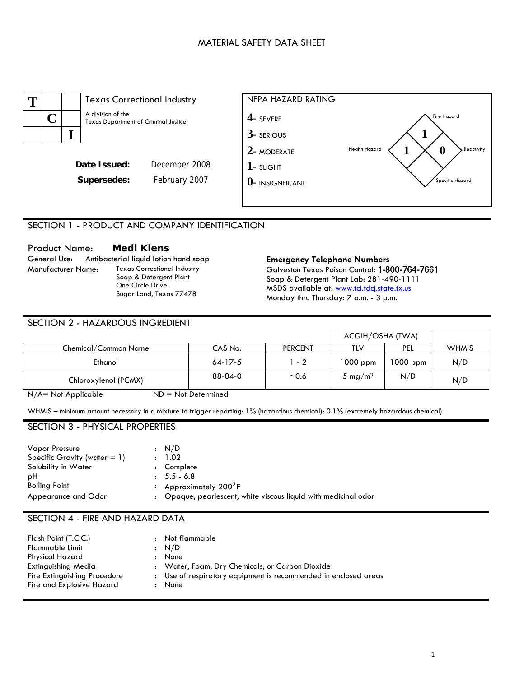## MATERIAL SAFETY DATA SHEET





# SECTION 1 - PRODUCT AND COMPANY IDENTIFICATION

Product Name: **Medi Klens**  General Use: Antibacterial liquid lotion hand soap **Emergency Telephone Numbers**  Texas Correctional Industry Soap & Detergent Plant One Circle Drive Sugar Land, Texas 77478

Galveston Texas Poison Control: 1-800-764-7661 Soap & Detergent Plant Lab: 281-490-1111 MSDS available at: www.tci.tdcj.state.tx.us Monday thru Thursday: 7 a.m. - 3 p.m.

## SECTION 2 - HAZARDOUS INGREDIENT

|                      |           |                |                     | ACGIH/OSHA (TWA) |              |  |
|----------------------|-----------|----------------|---------------------|------------------|--------------|--|
| Chemical/Common Name | CAS No.   | <b>PERCENT</b> | TLV                 | <b>PEL</b>       | <b>WHMIS</b> |  |
| Ethanol              | $64-17-5$ | $1 - 2$        | $1000$ ppm          | $1000$ ppm       | N/D          |  |
| Chloroxylenol (PCMX) | 88-04-0   | ~10.6          | 5 mg/m <sup>3</sup> | N/D              | N/D          |  |

 $N/A$  = Not Applicable  $ND = Not$  Determined

WHMIS – minimum amount necessary in a mixture to trigger reporting: 1% (hazardous chemical); 0.1% (extremely hazardous chemical)

## SECTION 3 - PHYSICAL PROPERTIES

| Vapor Pressure                  | : N/D                                                           |
|---------------------------------|-----------------------------------------------------------------|
| Specific Gravity (water $= 1$ ) | : 1.02                                                          |
| Solubility in Water             | Complete                                                        |
| рH                              | $: 5.5 - 6.8$                                                   |
| <b>Boiling Point</b>            | Approximately 200 $^0$ F                                        |
| Appearance and Odor             | : Opaque, pearlescent, white viscous liquid with medicinal odor |

## SECTION 4 - FIRE AND HAZARD DATA